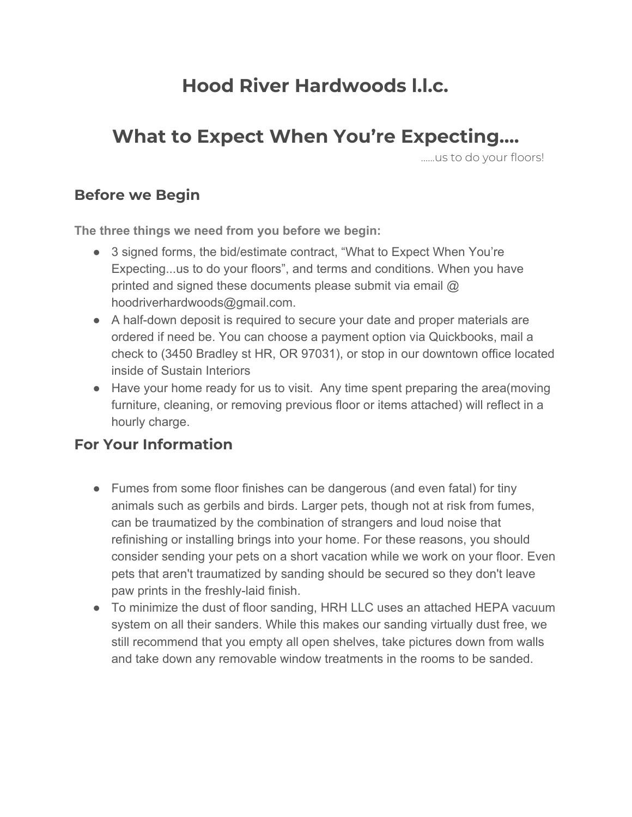# **Hood River Hardwoods l.l.c.**

# **What to Expect When You're Expecting….**

…...us to do your floors!

#### **Before we Begin**

**The three things we need from you before we begin:**

- 3 signed forms, the bid/estimate contract, "What to Expect When You're Expecting...us to do your floors", and terms and conditions. When you have printed and signed these documents please submit via email  $\omega$ hoodriverhardwoods@gmail.com.
- A half-down deposit is required to secure your date and proper materials are ordered if need be. You can choose a payment option via Quickbooks, mail a check to (3450 Bradley st HR, OR 97031), or stop in our downtown office located inside of Sustain Interiors
- Have your home ready for us to visit. Any time spent preparing the area(moving furniture, cleaning, or removing previous floor or items attached) will reflect in a hourly charge.

### **For Your Information**

- Fumes from some floor finishes can be dangerous (and even fatal) for tiny animals such as gerbils and birds. Larger pets, though not at risk from fumes, can be traumatized by the combination of strangers and loud noise that refinishing or installing brings into your home. For these reasons, you should consider sending your pets on a short vacation while we work on your floor. Even pets that aren't traumatized by sanding should be secured so they don't leave paw prints in the freshly-laid finish.
- To minimize the dust of floor sanding, HRH LLC uses an attached HEPA vacuum system on all their sanders. While this makes our sanding virtually dust free, we still recommend that you empty all open shelves, take pictures down from walls and take down any removable window treatments in the rooms to be sanded.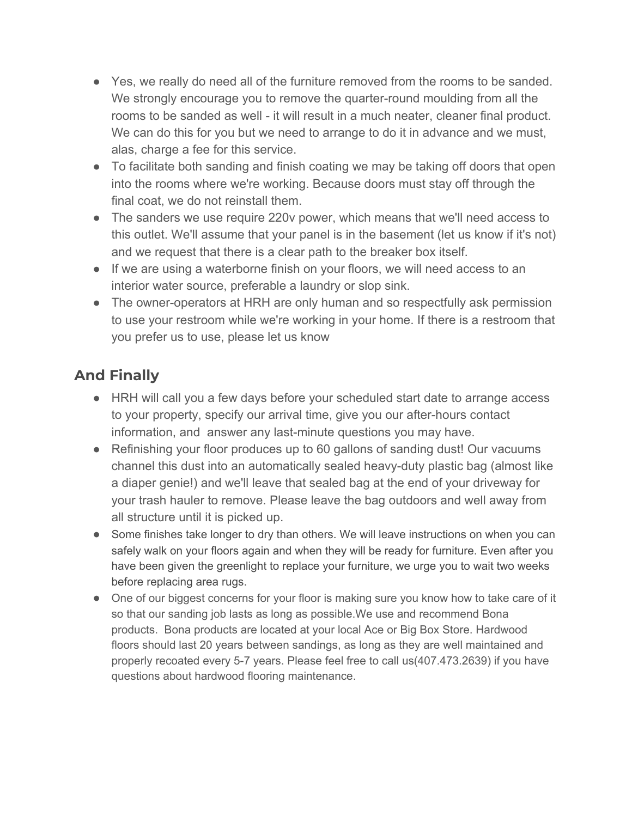- Yes, we really do need all of the furniture removed from the rooms to be sanded. We strongly encourage you to remove the quarter-round moulding from all the rooms to be sanded as well - it will result in a much neater, cleaner final product. We can do this for you but we need to arrange to do it in advance and we must, alas, charge a fee for this service.
- To facilitate both sanding and finish coating we may be taking off doors that open into the rooms where we're working. Because doors must stay off through the final coat, we do not reinstall them.
- The sanders we use require 220v power, which means that we'll need access to this outlet. We'll assume that your panel is in the basement (let us know if it's not) and we request that there is a clear path to the breaker box itself.
- If we are using a waterborne finish on your floors, we will need access to an interior water source, preferable a laundry or slop sink.
- The owner-operators at HRH are only human and so respectfully ask permission to use your restroom while we're working in your home. If there is a restroom that you prefer us to use, please let us know

### **And Finally**

- HRH will call you a few days before your scheduled start date to arrange access to your property, specify our arrival time, give you our after-hours contact information, and answer any last-minute questions you may have.
- Refinishing your floor produces up to 60 gallons of sanding dust! Our vacuums channel this dust into an automatically sealed heavy-duty plastic bag (almost like a diaper genie!) and we'll leave that sealed bag at the end of your driveway for your trash hauler to remove. Please leave the bag outdoors and well away from all structure until it is picked up.
- Some finishes take longer to dry than others. We will leave instructions on when you can safely walk on your floors again and when they will be ready for furniture. Even after you have been given the greenlight to replace your furniture, we urge you to wait two weeks before replacing area rugs.
- One of our biggest concerns for your floor is making sure you know how to take care of it so that our sanding job lasts as long as possible.We use and recommend Bona products. Bona products are located at your local Ace or Big Box Store. Hardwood floors should last 20 years between sandings, as long as they are well maintained and properly recoated every 5-7 years. Please feel free to call us(407.473.2639) if you have questions about hardwood flooring maintenance.